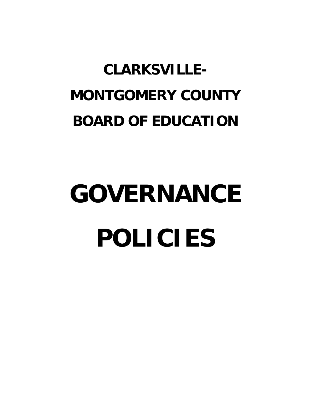# **CLARKSVILLE-MONTGOMERY COUNTY BOARD OF EDUCATION**

# **GOVERNANCE POLICIES**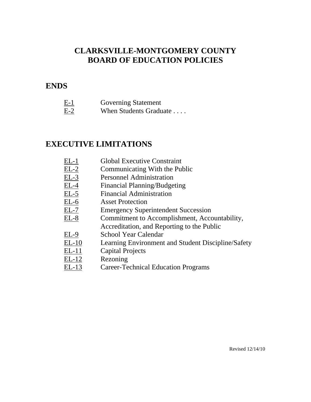# **CLARKSVILLE-MONTGOMERY COUNTY BOARD OF EDUCATION POLICIES**

# **ENDS**

| $E-1$ | <b>Governing Statement</b> |  |
|-------|----------------------------|--|
| $E-2$ | When Students Graduate     |  |

# **EXECUTIVE LIMITATIONS**

| <b>Global Executive Constraint</b>                 |
|----------------------------------------------------|
| Communicating With the Public                      |
| <b>Personnel Administration</b>                    |
| <b>Financial Planning/Budgeting</b>                |
| <b>Financial Administration</b>                    |
| <b>Asset Protection</b>                            |
| <b>Emergency Superintendent Succession</b>         |
| Commitment to Accomplishment, Accountability,      |
| Accreditation, and Reporting to the Public         |
| School Year Calendar                               |
| Learning Environment and Student Discipline/Safety |
| <b>Capital Projects</b>                            |
| Rezoning                                           |
| <b>Career-Technical Education Programs</b>         |
|                                                    |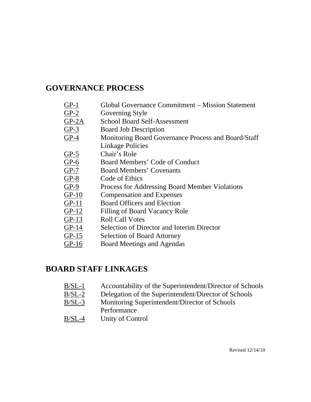# **GOVERNANCE PROCESS**

- GP-1 Global Governance Commitment Mission Statement
- GP-2 Governing Style
- GP-2A School Board Self-Assessment
- GP-3 Board Job Description
- GP-4 Monitoring Board Governance Process and Board/Staff Linkage Policies
- GP-5 Chair's Role
- GP-6 Board Members' Code of Conduct
- GP-7 Board Members' Covenants
- GP-8 Code of Ethics
- GP-9 Process for Addressing Board Member Violations
- GP-10 Compensation and Expenses
- GP-11 Board Officers and Election
- GP-12 Filling of Board Vacancy Role
- GP-13 Roll Call Votes
- GP-14 Selection of Director and Interim Director
- GP-15 Selection of Board Attorney
- GP-16 Board Meetings and Agendas

# **BOARD STAFF LINKAGES**

- B/SL-1 Accountability of the Superintendent/Director of Schools
- B/SL-2 Delegation of the Superintendent/Director of Schools
- B/SL-3 Monitoring Superintendent/Director of Schools Performance
- B/SL-4 Unity of Control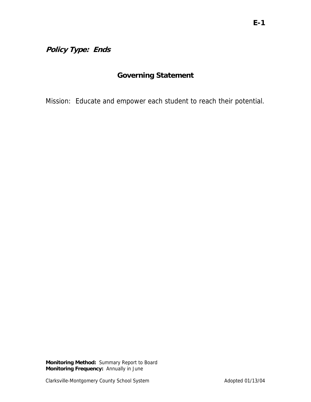**Policy Type: Ends** 

# **Governing Statement**

Mission: Educate and empower each student to reach their potential.

**Monitoring Method:** Summary Report to Board **Monitoring Frequency:** Annually in June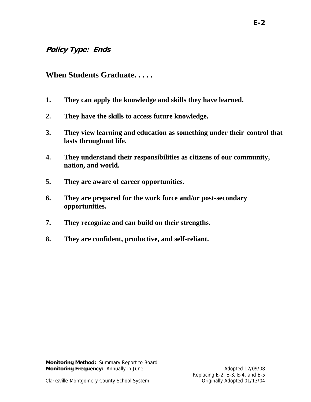# **Policy Type: Ends**

**When Students Graduate. . . . .** 

- **1. They can apply the knowledge and skills they have learned.**
- **2. They have the skills to access future knowledge.**
- **3. They view learning and education as something under their control that lasts throughout life.**
- **4. They understand their responsibilities as citizens of our community, nation, and world.**
- **5. They are aware of career opportunities.**
- **6. They are prepared for the work force and/or post-secondary opportunities.**
- **7. They recognize and can build on their strengths.**
- **8. They are confident, productive, and self-reliant.**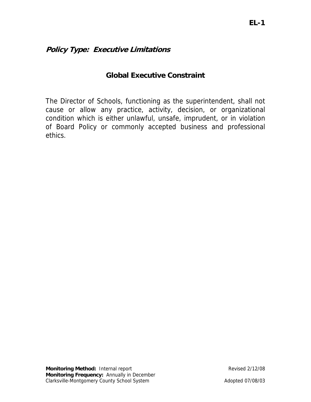# **Global Executive Constraint**

The Director of Schools, functioning as the superintendent, shall not cause or allow any practice, activity, decision, or organizational condition which is either unlawful, unsafe, imprudent, or in violation of Board Policy or commonly accepted business and professional ethics.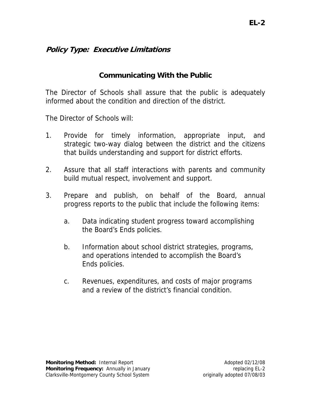# **Communicating With the Public**

The Director of Schools shall assure that the public is adequately informed about the condition and direction of the district.

The Director of Schools will:

- 1. Provide for timely information, appropriate input, and strategic two-way dialog between the district and the citizens that builds understanding and support for district efforts.
- 2. Assure that all staff interactions with parents and community build mutual respect, involvement and support.
- 3. Prepare and publish, on behalf of the Board, annual progress reports to the public that include the following items:
	- a. Data indicating student progress toward accomplishing the Board's Ends policies.
	- b. Information about school district strategies, programs, and operations intended to accomplish the Board's Ends policies.
	- c. Revenues, expenditures, and costs of major programs and a review of the district's financial condition.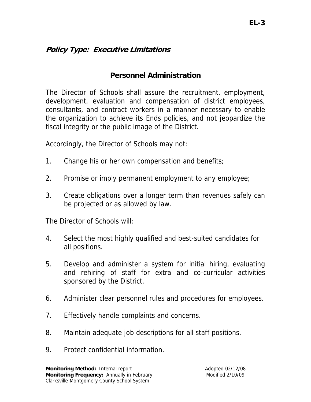### **Personnel Administration**

The Director of Schools shall assure the recruitment, employment, development, evaluation and compensation of district employees, consultants, and contract workers in a manner necessary to enable the organization to achieve its Ends policies, and not jeopardize the fiscal integrity or the public image of the District.

Accordingly, the Director of Schools may not:

- 1. Change his or her own compensation and benefits;
- 2. Promise or imply permanent employment to any employee;
- 3. Create obligations over a longer term than revenues safely can be projected or as allowed by law.

The Director of Schools will:

- 4. Select the most highly qualified and best-suited candidates for all positions.
- 5. Develop and administer a system for initial hiring, evaluating and rehiring of staff for extra and co-curricular activities sponsored by the District.
- 6. Administer clear personnel rules and procedures for employees.
- 7. Effectively handle complaints and concerns.
- 8. Maintain adequate job descriptions for all staff positions.
- 9. Protect confidential information.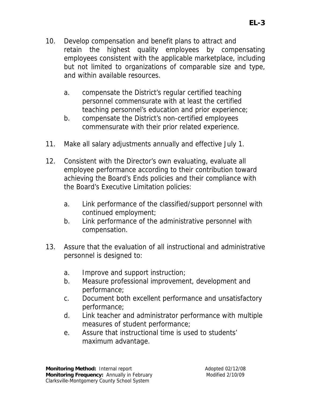- 10. Develop compensation and benefit plans to attract and retain the highest quality employees by compensating employees consistent with the applicable marketplace, including but not limited to organizations of comparable size and type, and within available resources.
	- a. compensate the District's regular certified teaching personnel commensurate with at least the certified teaching personnel's education and prior experience;
	- b. compensate the District's non-certified employees commensurate with their prior related experience.
- 11. Make all salary adjustments annually and effective July 1.
- 12. Consistent with the Director's own evaluating, evaluate all employee performance according to their contribution toward achieving the Board's Ends policies and their compliance with the Board's Executive Limitation policies:
	- a. Link performance of the classified/support personnel with continued employment;
	- b. Link performance of the administrative personnel with compensation.
- 13. Assure that the evaluation of all instructional and administrative personnel is designed to:
	- a. Improve and support instruction;
	- b. Measure professional improvement, development and performance;
	- c. Document both excellent performance and unsatisfactory performance;
	- d. Link teacher and administrator performance with multiple measures of student performance;
	- e. Assure that instructional time is used to students' maximum advantage.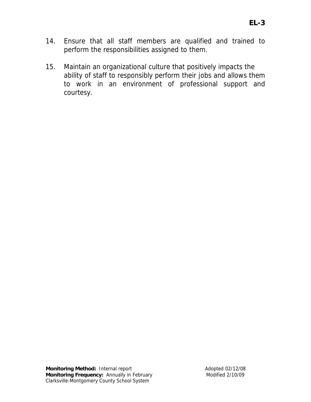- 14. Ensure that all staff members are qualified and trained to perform the responsibilities assigned to them.
- 15. Maintain an organizational culture that positively impacts the ability of staff to responsibly perform their jobs and allows them to work in an environment of professional support and courtesy.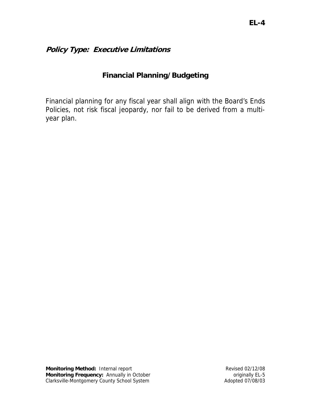# **Financial Planning/Budgeting**

Financial planning for any fiscal year shall align with the Board's Ends Policies, not risk fiscal jeopardy, nor fail to be derived from a multiyear plan.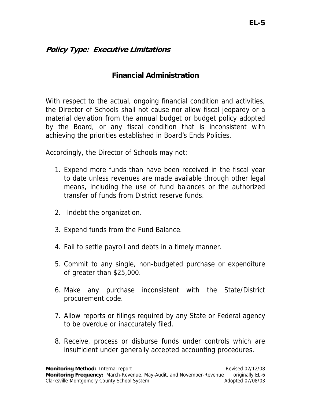# **Financial Administration**

With respect to the actual, ongoing financial condition and activities, the Director of Schools shall not cause nor allow fiscal jeopardy or a material deviation from the annual budget or budget policy adopted by the Board, or any fiscal condition that is inconsistent with achieving the priorities established in Board's Ends Policies.

Accordingly, the Director of Schools may not:

- 1. Expend more funds than have been received in the fiscal year to date unless revenues are made available through other legal means, including the use of fund balances or the authorized transfer of funds from District reserve funds.
- 2. Indebt the organization.
- 3. Expend funds from the Fund Balance.
- 4. Fail to settle payroll and debts in a timely manner.
- 5. Commit to any single, non-budgeted purchase or expenditure of greater than \$25,000.
- 6. Make any purchase inconsistent with the State/District procurement code.
- 7. Allow reports or filings required by any State or Federal agency to be overdue or inaccurately filed.
- 8. Receive, process or disburse funds under controls which are insufficient under generally accepted accounting procedures.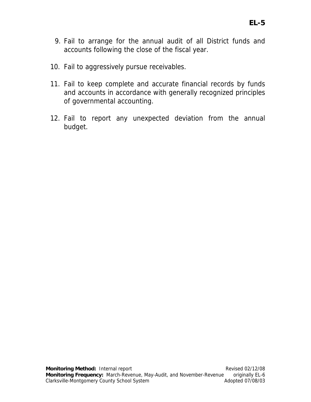- 9. Fail to arrange for the annual audit of all District funds and accounts following the close of the fiscal year.
- 10. Fail to aggressively pursue receivables.
- 11. Fail to keep complete and accurate financial records by funds and accounts in accordance with generally recognized principles of governmental accounting.
- 12. Fail to report any unexpected deviation from the annual budget.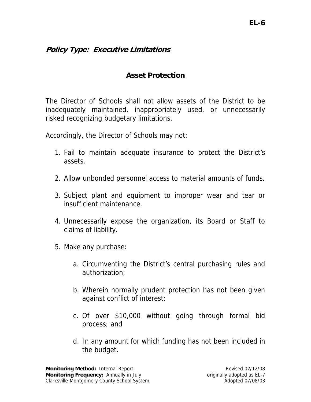# **EL-6**

# **Policy Type: Executive Limitations**

#### **Asset Protection**

The Director of Schools shall not allow assets of the District to be inadequately maintained, inappropriately used, or unnecessarily risked recognizing budgetary limitations.

Accordingly, the Director of Schools may not:

- 1. Fail to maintain adequate insurance to protect the District's assets.
- 2. Allow unbonded personnel access to material amounts of funds.
- 3. Subject plant and equipment to improper wear and tear or insufficient maintenance.
- 4. Unnecessarily expose the organization, its Board or Staff to claims of liability.
- 5. Make any purchase:
	- a. Circumventing the District's central purchasing rules and authorization;
	- b. Wherein normally prudent protection has not been given against conflict of interest;
	- c. Of over \$10,000 without going through formal bid process; and
	- d. In any amount for which funding has not been included in the budget.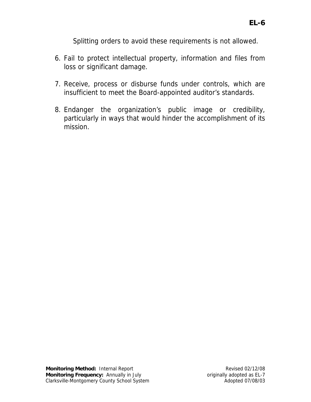Splitting orders to avoid these requirements is not allowed.

- 6. Fail to protect intellectual property, information and files from loss or significant damage.
- 7. Receive, process or disburse funds under controls, which are insufficient to meet the Board-appointed auditor's standards.
- 8. Endanger the organization's public image or credibility, particularly in ways that would hinder the accomplishment of its mission.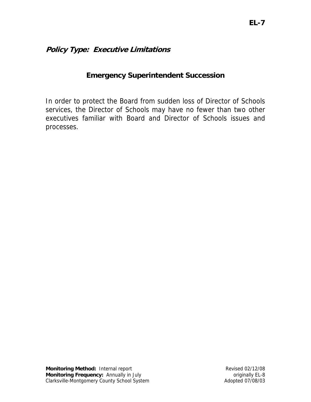# **Emergency Superintendent Succession**

In order to protect the Board from sudden loss of Director of Schools services, the Director of Schools may have no fewer than two other executives familiar with Board and Director of Schools issues and processes.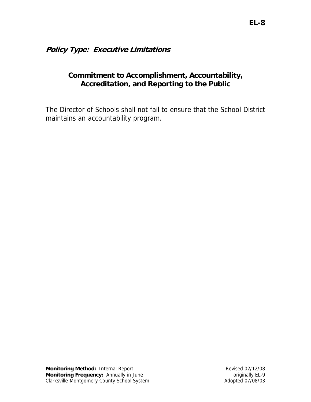# **Commitment to Accomplishment, Accountability, Accreditation, and Reporting to the Public**

The Director of Schools shall not fail to ensure that the School District maintains an accountability program.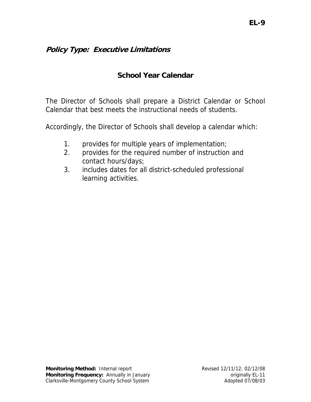# **School Year Calendar**

The Director of Schools shall prepare a District Calendar or School Calendar that best meets the instructional needs of students.

Accordingly, the Director of Schools shall develop a calendar which:

- 1. provides for multiple years of implementation;
- 2. provides for the required number of instruction and contact hours/days;
- 3. includes dates for all district-scheduled professional learning activities.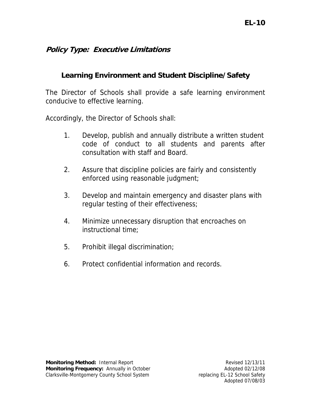# **Learning Environment and Student Discipline/Safety**

The Director of Schools shall provide a safe learning environment conducive to effective learning.

Accordingly, the Director of Schools shall:

- 1. Develop, publish and annually distribute a written student code of conduct to all students and parents after consultation with staff and Board.
- 2. Assure that discipline policies are fairly and consistently enforced using reasonable judgment;
- 3. Develop and maintain emergency and disaster plans with regular testing of their effectiveness;
- 4. Minimize unnecessary disruption that encroaches on instructional time;
- 5. Prohibit illegal discrimination;
- 6. Protect confidential information and records.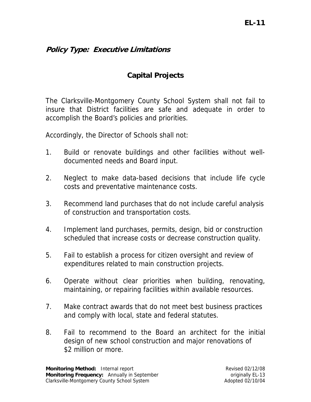# **EL-11**

# **Policy Type: Executive Limitations**

# **Capital Projects**

The Clarksville-Montgomery County School System shall not fail to insure that District facilities are safe and adequate in order to accomplish the Board's policies and priorities.

Accordingly, the Director of Schools shall not:

- 1. Build or renovate buildings and other facilities without well documented needs and Board input.
- 2. Neglect to make data-based decisions that include life cycle costs and preventative maintenance costs.
- 3. Recommend land purchases that do not include careful analysis of construction and transportation costs.
- 4. Implement land purchases, permits, design, bid or construction scheduled that increase costs or decrease construction quality.
- 5. Fail to establish a process for citizen oversight and review of expenditures related to main construction projects.
- 6. Operate without clear priorities when building, renovating, maintaining, or repairing facilities within available resources.
- 7. Make contract awards that do not meet best business practices and comply with local, state and federal statutes.
- 8. Fail to recommend to the Board an architect for the initial design of new school construction and major renovations of \$2 million or more.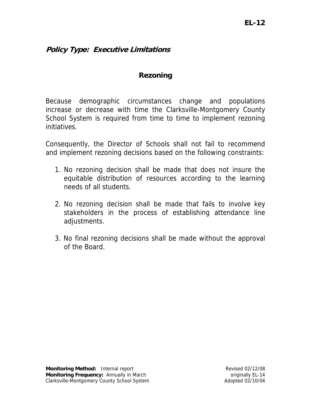# **Rezoning**

Because demographic circumstances change and populations increase or decrease with time the Clarksville-Montgomery County School System is required from time to time to implement rezoning initiatives.

Consequently, the Director of Schools shall not fail to recommend and implement rezoning decisions based on the following constraints:

- 1. No rezoning decision shall be made that does not insure the equitable distribution of resources according to the learning needs of all students.
- 2. No rezoning decision shall be made that fails to involve key stakeholders in the process of establishing attendance line adjustments.
- 3. No final rezoning decisions shall be made without the approval of the Board.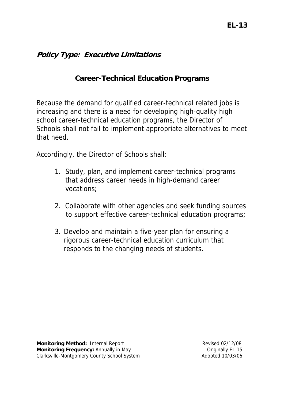### **Career-Technical Education Programs**

Because the demand for qualified career-technical related jobs is increasing and there is a need for developing high-quality high school career-technical education programs, the Director of Schools shall not fail to implement appropriate alternatives to meet that need.

Accordingly, the Director of Schools shall:

- 1. Study, plan, and implement career-technical programs that address career needs in high-demand career vocations;
- 2. Collaborate with other agencies and seek funding sources to support effective career-technical education programs;
- 3. Develop and maintain a five-year plan for ensuring a rigorous career-technical education curriculum that responds to the changing needs of students.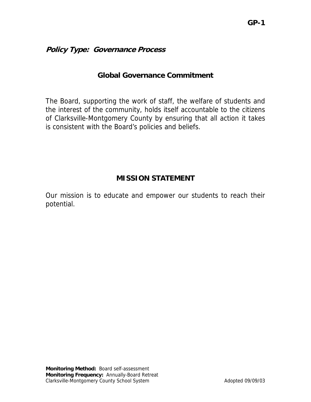#### **Global Governance Commitment**

The Board, supporting the work of staff, the welfare of students and the interest of the community, holds itself accountable to the citizens of Clarksville-Montgomery County by ensuring that all action it takes is consistent with the Board's policies and beliefs.

# **MISSION STATEMENT**

Our mission is to educate and empower our students to reach their potential.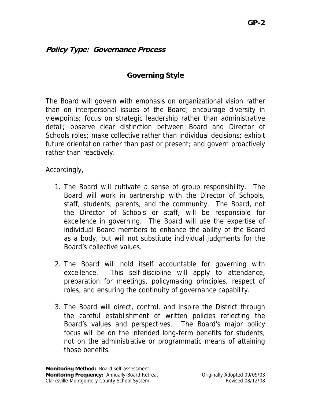# **Governing Style**

The Board will govern with emphasis on organizational vision rather than on interpersonal issues of the Board; encourage diversity in viewpoints; focus on strategic leadership rather than administrative detail; observe clear distinction between Board and Director of Schools roles; make collective rather than individual decisions; exhibit future orientation rather than past or present; and govern proactively rather than reactively.

Accordingly,

- 1. The Board will cultivate a sense of group responsibility. The Board will work in partnership with the Director of Schools, staff, students, parents, and the community. The Board, not the Director of Schools or staff, will be responsible for excellence in governing. The Board will use the expertise of individual Board members to enhance the ability of the Board as a body, but will not substitute individual judgments for the Board's collective values.
- 2. The Board will hold itself accountable for governing with excellence. This self-discipline will apply to attendance, preparation for meetings, policymaking principles, respect of roles, and ensuring the continuity of governance capability.
- 3. The Board will direct, control, and inspire the District through the careful establishment of written policies reflecting the Board's values and perspectives. The Board's major policy focus will be on the intended long-term benefits for students, not on the administrative or programmatic means of attaining those benefits.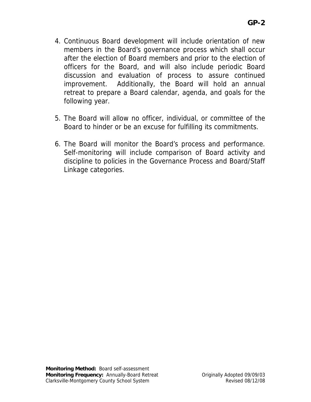- 4. Continuous Board development will include orientation of new members in the Board's governance process which shall occur after the election of Board members and prior to the election of officers for the Board, and will also include periodic Board discussion and evaluation of process to assure continued improvement. Additionally, the Board will hold an annual retreat to prepare a Board calendar, agenda, and goals for the following year.
- 5. The Board will allow no officer, individual, or committee of the Board to hinder or be an excuse for fulfilling its commitments.
- 6. The Board will monitor the Board's process and performance. Self-monitoring will include comparison of Board activity and discipline to policies in the Governance Process and Board/Staff Linkage categories.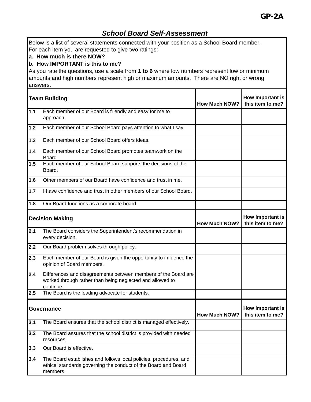Below is a list of several statements connected with your position as a School Board member. For each item you are requested to give two ratings:

#### **a. How much is there NOW?**

#### **b. How IMPORTANT is this to me?**

As you rate the questions, use a scale from **1 to 6** where low numbers represent low or minimum amounts and high numbers represent high or maximum amounts. There are NO right or wrong answers.

|       | <b>Team Building</b>                                                                                                                            | <b>How Much NOW?</b> | How Important is<br>this item to me? |
|-------|-------------------------------------------------------------------------------------------------------------------------------------------------|----------------------|--------------------------------------|
| 1.1   | Each member of our Board is friendly and easy for me to<br>approach.                                                                            |                      |                                      |
| $1.2$ | Each member of our School Board pays attention to what I say.                                                                                   |                      |                                      |
| $1.3$ | Each member of our School Board offers ideas.                                                                                                   |                      |                                      |
| 1.4   | Each member of our School Board promotes teamwork on the<br>Board.                                                                              |                      |                                      |
| 1.5   | Each member of our School Board supports the decisions of the<br>Board.                                                                         |                      |                                      |
| 1.6   | Other members of our Board have confidence and trust in me.                                                                                     |                      |                                      |
| $1.7$ | I have confidence and trust in other members of our School Board.                                                                               |                      |                                      |
| 1.8   | Our Board functions as a corporate board.                                                                                                       |                      |                                      |
|       | <b>Decision Making</b>                                                                                                                          | <b>How Much NOW?</b> | How Important is<br>this item to me? |
| 2.1   | The Board considers the Superintendent's recommendation in<br>every decision.                                                                   |                      |                                      |
| 2.2   | Our Board problem solves through policy.                                                                                                        |                      |                                      |
| 2.3   | Each member of our Board is given the opportunity to influence the<br>opinion of Board members.                                                 |                      |                                      |
| 2.4   | Differences and disagreements between members of the Board are<br>worked through rather than being neglected and allowed to<br>continue.        |                      |                                      |
| 2.5   | The Board is the leading advocate for students.                                                                                                 |                      |                                      |
|       | Governance                                                                                                                                      | <b>How Much NOW?</b> | How Important is<br>this item to me? |
| 3.1   | The Board ensures that the school district is managed effectively.                                                                              |                      |                                      |
| 3.2   | The Board assures that the school district is provided with needed<br>resources.                                                                |                      |                                      |
| 3.3   | Our Board is effective.                                                                                                                         |                      |                                      |
| 3.4   | The Board establishes and follows local policies, procedures, and<br>ethical standards governing the conduct of the Board and Board<br>members. |                      |                                      |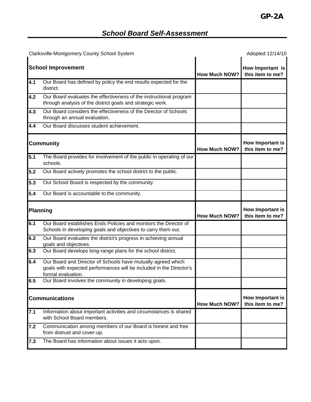| Clarksville-Montgomery County School System |                                                                                                                                                           |                      | Adopted 12/14/10                            |
|---------------------------------------------|-----------------------------------------------------------------------------------------------------------------------------------------------------------|----------------------|---------------------------------------------|
|                                             | <b>School Improvement</b>                                                                                                                                 | <b>How Much NOW?</b> | How Important is<br>this item to me?        |
| 4.1                                         | Our Board has defined by policy the end results expected for the<br>district.                                                                             |                      |                                             |
| 4.2                                         | Our Board evaluates the effectiveness of the instructional program<br>through analysis of the district goals and strategic work.                          |                      |                                             |
| 4.3                                         | Our Board considers the effectiveness of the Director of Schools<br>through an annual evaluation.                                                         |                      |                                             |
| 4.4                                         | Our Board discusses student achievement.                                                                                                                  |                      |                                             |
|                                             | <b>Community</b>                                                                                                                                          | <b>How Much NOW?</b> | How Important is<br>this item to me?        |
| 5.1                                         | The Board provides for involvement of the public in operating of our<br>schools.                                                                          |                      |                                             |
| 5.2                                         | Our Board actively promotes the school district to the public.                                                                                            |                      |                                             |
| 5.3                                         | Our School Board is respected by the community.                                                                                                           |                      |                                             |
| 5.4                                         | Our Board is accountable to the community.                                                                                                                |                      |                                             |
|                                             | <b>Planning</b>                                                                                                                                           | <b>How Much NOW?</b> | How Important is<br>this item to me?        |
| 6.1                                         | Our Board establishes Ends Policies and monitors the Director of<br>Schools in developing goals and objectives to carry them out.                         |                      |                                             |
| 6.2                                         | Our Board evaluates the district's progress in achieving annual<br>goals and objectives.                                                                  |                      |                                             |
| 6.3                                         | Our Board develops long-range plans for the school district.                                                                                              |                      |                                             |
| 6.4                                         | Our Board and Director of Schools have mutually agreed which<br>goals with expected performances will be included in the Director's<br>formal evaluation. |                      |                                             |
| 6.5                                         | Our Board involves the community in developing goals.                                                                                                     |                      |                                             |
|                                             | <b>Communications</b>                                                                                                                                     | <b>How Much NOW?</b> | <b>How Important is</b><br>this item to me? |
| 7.1                                         | Information about important activities and circumstances is shared<br>with School Board members.                                                          |                      |                                             |
| 7.2                                         | Communication among members of our Board is honest and free<br>from distrust and cover-up.                                                                |                      |                                             |
| 7.3                                         | The Board has information about issues it acts upon.                                                                                                      |                      |                                             |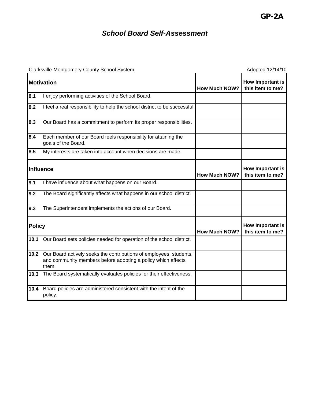Clarksville-Montgomery County School System **Adopted 12/14/10** Adopted 12/14/10

| <b>Motivation</b> |                                                                                                                                             | <b>How Much NOW?</b> | <b>How Important is</b><br>this item to me? |
|-------------------|---------------------------------------------------------------------------------------------------------------------------------------------|----------------------|---------------------------------------------|
| 8.1               | I enjoy performing activities of the School Board.                                                                                          |                      |                                             |
| 8.2               | I feel a real responsibility to help the school district to be successful.                                                                  |                      |                                             |
| 8.3               | Our Board has a commitment to perform its proper responsibilities.                                                                          |                      |                                             |
| 8.4               | Each member of our Board feels responsibility for attaining the<br>goals of the Board.                                                      |                      |                                             |
| 8.5               | My interests are taken into account when decisions are made.                                                                                |                      |                                             |
|                   | Influence                                                                                                                                   | <b>How Much NOW?</b> | How Important is<br>this item to me?        |
| 9.1               | I have influence about what happens on our Board.                                                                                           |                      |                                             |
| 9.2               | The Board significantly affects what happens in our school district.                                                                        |                      |                                             |
| 9.3               | The Superintendent implements the actions of our Board.                                                                                     |                      |                                             |
| <b>Policy</b>     |                                                                                                                                             | <b>How Much NOW?</b> | How Important is<br>this item to me?        |
| 10.1              | Our Board sets policies needed for operation of the school district.                                                                        |                      |                                             |
| $10.2$            | Our Board actively seeks the contributions of employees, students,<br>and community members before adopting a policy which affects<br>them. |                      |                                             |
| $10.3$            | The Board systematically evaluates policies for their effectiveness.                                                                        |                      |                                             |
| 10.4              | Board policies are administered consistent with the intent of the<br>policy.                                                                |                      |                                             |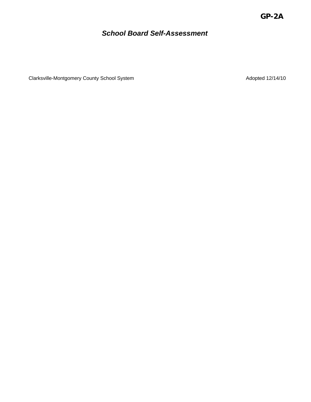Clarksville-Montgomery County School System **Adopted 12/14/10** 2014/10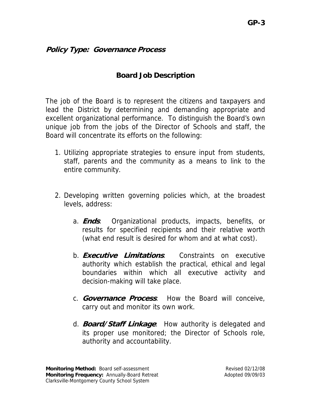# **Board Job Description**

The job of the Board is to represent the citizens and taxpayers and lead the District by determining and demanding appropriate and excellent organizational performance. To distinguish the Board's own unique job from the jobs of the Director of Schools and staff, the Board will concentrate its efforts on the following:

- 1. Utilizing appropriate strategies to ensure input from students, staff, parents and the community as a means to link to the entire community.
- 2. Developing written governing policies which, at the broadest levels, address:
	- a. **Ends**: Organizational products, impacts, benefits, or results for specified recipients and their relative worth (what end result is desired for whom and at what cost).
	- b. **Executive Limitations**: Constraints on executive authority which establish the practical, ethical and legal boundaries within which all executive activity and decision-making will take place.
	- c. **Governance Process**: How the Board will conceive, carry out and monitor its own work.
	- d. **Board/Staff Linkage**: How authority is delegated and its proper use monitored; the Director of Schools role, authority and accountability.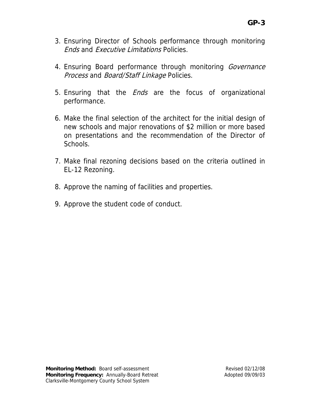- 3. Ensuring Director of Schools performance through monitoring Ends and Executive Limitations Policies.
- 4. Ensuring Board performance through monitoring Governance Process and Board/Staff Linkage Policies.
- 5. Ensuring that the *Ends* are the focus of organizational performance.
- 6. Make the final selection of the architect for the initial design of new schools and major renovations of \$2 million or more based on presentations and the recommendation of the Director of Schools.
- 7. Make final rezoning decisions based on the criteria outlined in EL-12 Rezoning.
- 8. Approve the naming of facilities and properties.
- 9. Approve the student code of conduct.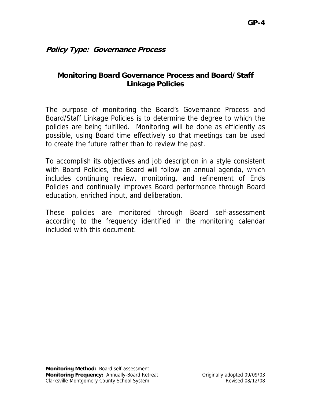# **Monitoring Board Governance Process and Board/Staff Linkage Policies**

The purpose of monitoring the Board's Governance Process and Board/Staff Linkage Policies is to determine the degree to which the policies are being fulfilled. Monitoring will be done as efficiently as possible, using Board time effectively so that meetings can be used to create the future rather than to review the past.

To accomplish its objectives and job description in a style consistent with Board Policies, the Board will follow an annual agenda, which includes continuing review, monitoring, and refinement of Ends Policies and continually improves Board performance through Board education, enriched input, and deliberation.

These policies are monitored through Board self-assessment according to the frequency identified in the monitoring calendar included with this document.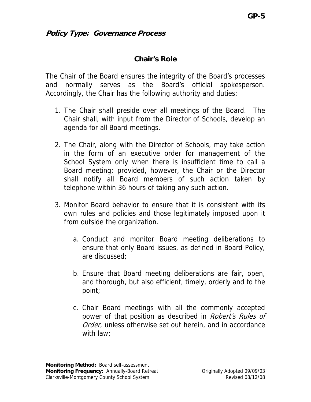### **Chair's Role**

The Chair of the Board ensures the integrity of the Board's processes and normally serves as the Board's official spokesperson. Accordingly, the Chair has the following authority and duties:

- 1. The Chair shall preside over all meetings of the Board. The Chair shall, with input from the Director of Schools, develop an agenda for all Board meetings.
- 2. The Chair, along with the Director of Schools, may take action in the form of an executive order for management of the School System only when there is insufficient time to call a Board meeting; provided, however, the Chair or the Director shall notify all Board members of such action taken by telephone within 36 hours of taking any such action.
- 3. Monitor Board behavior to ensure that it is consistent with its own rules and policies and those legitimately imposed upon it from outside the organization.
	- a. Conduct and monitor Board meeting deliberations to ensure that only Board issues, as defined in Board Policy, are discussed;
	- b. Ensure that Board meeting deliberations are fair, open, and thorough, but also efficient, timely, orderly and to the point;
	- c. Chair Board meetings with all the commonly accepted power of that position as described in *Robert's Rules of* Order, unless otherwise set out herein, and in accordance with law;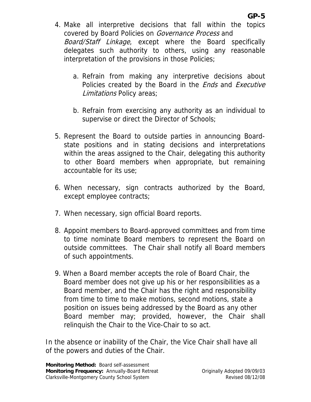- a. Refrain from making any interpretive decisions about Policies created by the Board in the *Ends* and *Executive* Limitations Policy areas;
- b. Refrain from exercising any authority as an individual to supervise or direct the Director of Schools;
- 5. Represent the Board to outside parties in announcing Boardstate positions and in stating decisions and interpretations within the areas assigned to the Chair, delegating this authority to other Board members when appropriate, but remaining accountable for its use;
- 6. When necessary, sign contracts authorized by the Board, except employee contracts;
- 7. When necessary, sign official Board reports.
- 8. Appoint members to Board-approved committees and from time to time nominate Board members to represent the Board on outside committees. The Chair shall notify all Board members of such appointments.
- 9. When a Board member accepts the role of Board Chair, the Board member does not give up his or her responsibilities as a Board member, and the Chair has the right and responsibility from time to time to make motions, second motions, state a position on issues being addressed by the Board as any other Board member may; provided, however, the Chair shall relinquish the Chair to the Vice-Chair to so act.

In the absence or inability of the Chair, the Vice Chair shall have all of the powers and duties of the Chair.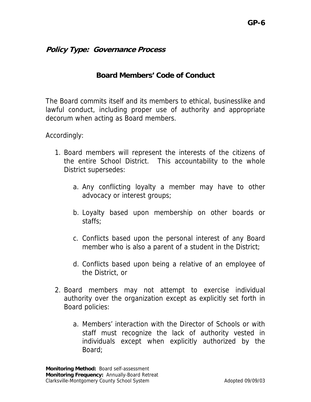### **Board Members' Code of Conduct**

The Board commits itself and its members to ethical, businesslike and lawful conduct, including proper use of authority and appropriate decorum when acting as Board members.

Accordingly:

- 1. Board members will represent the interests of the citizens of the entire School District. This accountability to the whole District supersedes:
	- a. Any conflicting loyalty a member may have to other advocacy or interest groups;
	- b. Loyalty based upon membership on other boards or staffs;
	- c. Conflicts based upon the personal interest of any Board member who is also a parent of a student in the District;
	- d. Conflicts based upon being a relative of an employee of the District, or
- 2. Board members may not attempt to exercise individual authority over the organization except as explicitly set forth in Board policies:
	- a. Members' interaction with the Director of Schools or with staff must recognize the lack of authority vested in individuals except when explicitly authorized by the Board;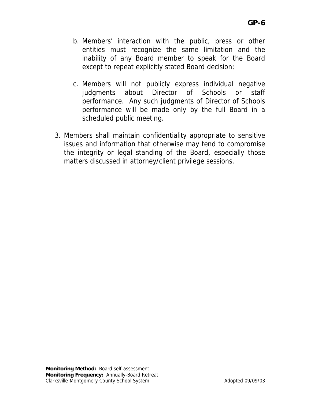- b. Members' interaction with the public, press or other entities must recognize the same limitation and the inability of any Board member to speak for the Board except to repeat explicitly stated Board decision;
- c. Members will not publicly express individual negative judgments about Director of Schools or staff performance. Any such judgments of Director of Schools performance will be made only by the full Board in a scheduled public meeting.
- 3. Members shall maintain confidentiality appropriate to sensitive issues and information that otherwise may tend to compromise the integrity or legal standing of the Board, especially those matters discussed in attorney/client privilege sessions.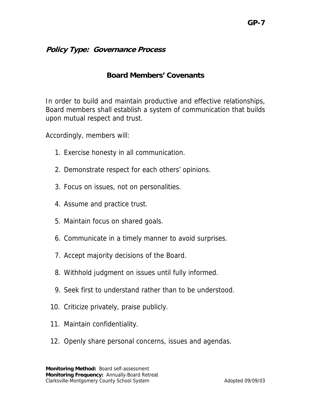### **Board Members' Covenants**

In order to build and maintain productive and effective relationships, Board members shall establish a system of communication that builds upon mutual respect and trust.

Accordingly, members will:

- 1. Exercise honesty in all communication.
- 2. Demonstrate respect for each others' opinions.
- 3. Focus on issues, not on personalities.
- 4. Assume and practice trust.
- 5. Maintain focus on shared goals.
- 6. Communicate in a timely manner to avoid surprises.
- 7. Accept majority decisions of the Board.
- 8. Withhold judgment on issues until fully informed.
- 9. Seek first to understand rather than to be understood.
- 10. Criticize privately, praise publicly.
- 11. Maintain confidentiality.
- 12. Openly share personal concerns, issues and agendas.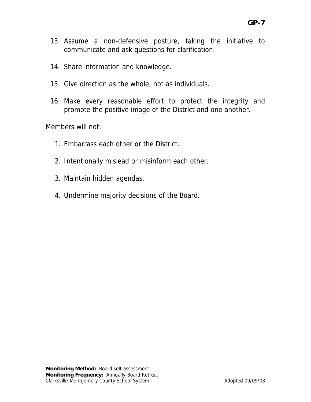- 13. Assume a non-defensive posture, taking the initiative to communicate and ask questions for clarification.
- 14. Share information and knowledge.
- 15. Give direction as the whole, not as individuals.
- 16. Make every reasonable effort to protect the integrity and promote the positive image of the District and one another.

Members will not:

- 1. Embarrass each other or the District.
- 2. Intentionally mislead or misinform each other.
- 3. Maintain hidden agendas.
- 4. Undermine majority decisions of the Board.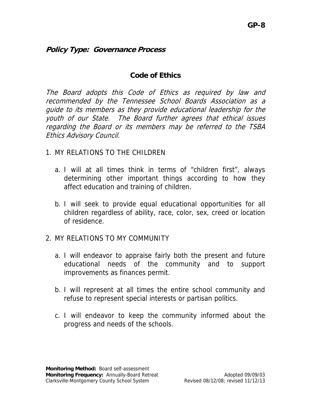#### **Code of Ethics**

The Board adopts this Code of Ethics as required by law and recommended by the Tennessee School Boards Association as a guide to its members as they provide educational leadership for the youth of our State. The Board further agrees that ethical issues regarding the Board or its members may be referred to the TSBA Ethics Advisory Council.

- 1. MY RELATIONS TO THE CHILDREN
	- a. I will at all times think in terms of "children first", always determining other important things according to how they affect education and training of children.
	- b. I will seek to provide equal educational opportunities for all children regardless of ability, race, color, sex, creed or location of residence.
- 2. MY RELATIONS TO MY COMMUNITY
	- a. I will endeavor to appraise fairly both the present and future educational needs of the community and to support improvements as finances permit.
	- b. I will represent at all times the entire school community and refuse to represent special interests or partisan politics.
	- c. I will endeavor to keep the community informed about the progress and needs of the schools.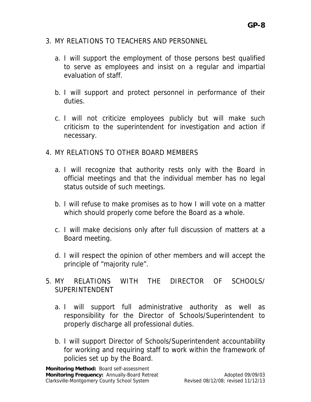- 3. MY RELATIONS TO TEACHERS AND PERSONNEL
	- a. I will support the employment of those persons best qualified to serve as employees and insist on a regular and impartial evaluation of staff.
	- b. I will support and protect personnel in performance of their duties.
	- c. I will not criticize employees publicly but will make such criticism to the superintendent for investigation and action if necessary.
- 4. MY RELATIONS TO OTHER BOARD MEMBERS
	- a. I will recognize that authority rests only with the Board in official meetings and that the individual member has no legal status outside of such meetings.
	- b. I will refuse to make promises as to how I will vote on a matter which should properly come before the Board as a whole.
	- c. I will make decisions only after full discussion of matters at a Board meeting.
	- d. I will respect the opinion of other members and will accept the principle of "majority rule".
- 5. MY RELATIONS WITH THE DIRECTOR OF SCHOOLS/ SUPERINTENDENT
	- a. I will support full administrative authority as well as responsibility for the Director of Schools/Superintendent to properly discharge all professional duties.
	- b. I will support Director of Schools/Superintendent accountability for working and requiring staff to work within the framework of policies set up by the Board.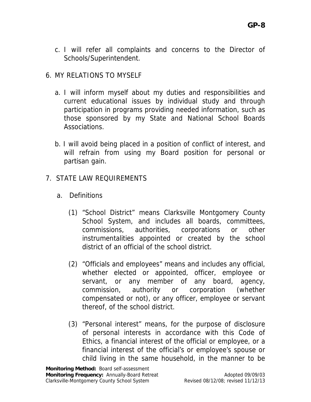c. I will refer all complaints and concerns to the Director of Schools/Superintendent.

# 6. MY RELATIONS TO MYSELF

- a. I will inform myself about my duties and responsibilities and current educational issues by individual study and through participation in programs providing needed information, such as those sponsored by my State and National School Boards Associations.
- b. I will avoid being placed in a position of conflict of interest, and will refrain from using my Board position for personal or partisan gain.

# 7. STATE LAW REQUIREMENTS

- a. Definitions
	- (1) "School District" means Clarksville Montgomery County School System, and includes all boards, committees, commissions, authorities, corporations or other instrumentalities appointed or created by the school district of an official of the school district.
	- (2) "Officials and employees" means and includes any official, whether elected or appointed, officer, employee or servant, or any member of any board, agency, commission, authority or corporation (whether compensated or not), or any officer, employee or servant thereof, of the school district.
	- (3) "Personal interest" means, for the purpose of disclosure of personal interests in accordance with this Code of Ethics, a financial interest of the official or employee, or a financial interest of the official's or employee's spouse or child living in the same household, in the manner to be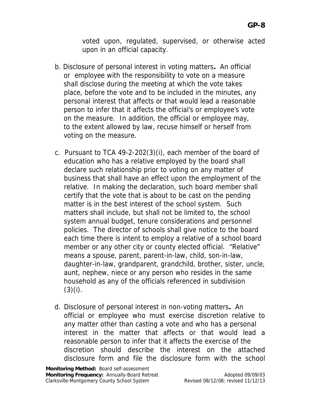voted upon, regulated, supervised, or otherwise acted upon in an official capacity.

- b. Disclosure of personal interest in voting matters**.** An official or employee with the responsibility to vote on a measure shall disclose during the meeting at which the vote takes place, before the vote and to be included in the minutes, any personal interest that affects or that would lead a reasonable person to infer that it affects the official's or employee's vote on the measure. In addition, the official or employee may, to the extent allowed by law, recuse himself or herself from voting on the measure.
- c. Pursuant to TCA 49-2-202(3)(i), each member of the board of education who has a relative employed by the board shall declare such relationship prior to voting on any matter of business that shall have an effect upon the employment of the relative. In making the declaration, such board member shall certify that the vote that is about to be cast on the pending matter is in the best interest of the school system. Such matters shall include, but shall not be limited to, the school system annual budget, tenure considerations and personnel policies. The director of schools shall give notice to the board each time there is intent to employ a relative of a school board member or any other city or county elected official. "Relative" means a spouse, parent, parent-in-law, child, son-in-law, daughter-in-law, grandparent, grandchild, brother, sister, uncle, aunt, nephew, niece or any person who resides in the same household as any of the officials referenced in subdivision  $(3)(i)$ .
- d. Disclosure of personal interest in non-voting matters**.** An official or employee who must exercise discretion relative to any matter other than casting a vote and who has a personal interest in the matter that affects or that would lead a reasonable person to infer that it affects the exercise of the discretion should describe the interest on the attached disclosure form and file the disclosure form with the school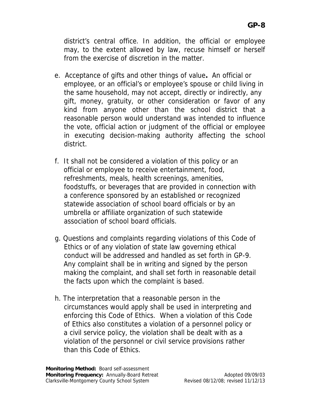district's central office. In addition, the official or employee may, to the extent allowed by law, recuse himself or herself from the exercise of discretion in the matter.

- e. Acceptance of gifts and other things of value**.** An official or employee, or an official's or employee's spouse or child living in the same household, may not accept, directly or indirectly, any gift, money, gratuity, or other consideration or favor of any kind from anyone other than the school district that a reasonable person would understand was intended to influence the vote, official action or judgment of the official or employee in executing decision-making authority affecting the school district.
- f. It shall not be considered a violation of this policy or an official or employee to receive entertainment, food, refreshments, meals, health screenings, amenities, foodstuffs, or beverages that are provided in connection with a conference sponsored by an established or recognized statewide association of school board officials or by an umbrella or affiliate organization of such statewide association of school board officials.
- g. Questions and complaints regarding violations of this Code of Ethics or of any violation of state law governing ethical conduct will be addressed and handled as set forth in GP-9. Any complaint shall be in writing and signed by the person making the complaint, and shall set forth in reasonable detail the facts upon which the complaint is based.
- h. The interpretation that a reasonable person in the circumstances would apply shall be used in interpreting and enforcing this Code of Ethics. When a violation of this Code of Ethics also constitutes a violation of a personnel policy or a civil service policy, the violation shall be dealt with as a violation of the personnel or civil service provisions rather than this Code of Ethics.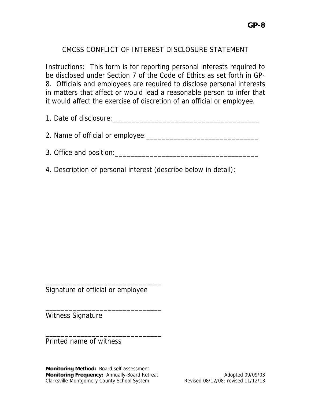# CMCSS CONFLICT OF INTEREST DISCLOSURE STATEMENT

Instructions: This form is for reporting personal interests required to be disclosed under Section 7 of the Code of Ethics as set forth in GP-8. Officials and employees are required to disclose personal interests in matters that affect or would lead a reasonable person to infer that it would affect the exercise of discretion of an official or employee.

| 1. Date of disclosure: |  |
|------------------------|--|
|                        |  |

2. Name of official or employee:\_\_\_\_\_\_\_\_\_\_\_\_\_\_\_\_\_\_\_\_\_\_\_\_\_\_\_\_\_

3. Office and position:\_\_\_\_\_\_\_\_\_\_\_\_\_\_\_\_\_\_\_\_\_\_\_\_\_\_\_\_\_\_\_\_\_\_\_\_\_

4. Description of personal interest (describe below in detail):

Signature of official or employee

\_\_\_\_\_\_\_\_\_\_\_\_\_\_\_\_\_\_\_\_\_\_\_\_\_\_\_\_\_\_

\_\_\_\_\_\_\_\_\_\_\_\_\_\_\_\_\_\_\_\_\_\_\_\_\_\_\_\_\_\_

\_\_\_\_\_\_\_\_\_\_\_\_\_\_\_\_\_\_\_\_\_\_\_\_\_\_\_\_\_\_

Witness Signature

Printed name of witness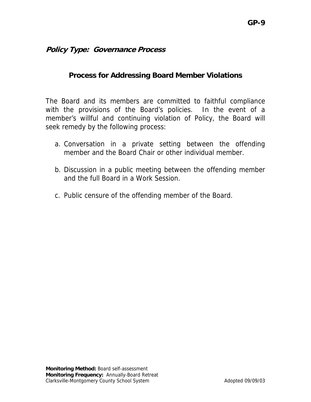#### **Process for Addressing Board Member Violations**

The Board and its members are committed to faithful compliance with the provisions of the Board's policies. In the event of a member's willful and continuing violation of Policy, the Board will seek remedy by the following process:

- a. Conversation in a private setting between the offending member and the Board Chair or other individual member.
- b. Discussion in a public meeting between the offending member and the full Board in a Work Session.
- c. Public censure of the offending member of the Board.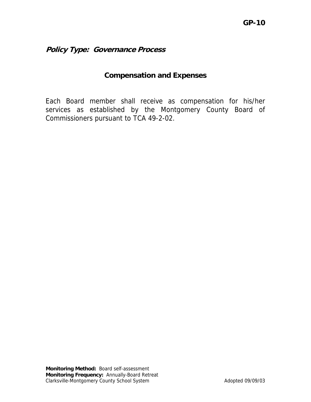#### **Compensation and Expenses**

Each Board member shall receive as compensation for his/her services as established by the Montgomery County Board of Commissioners pursuant to TCA 49-2-02.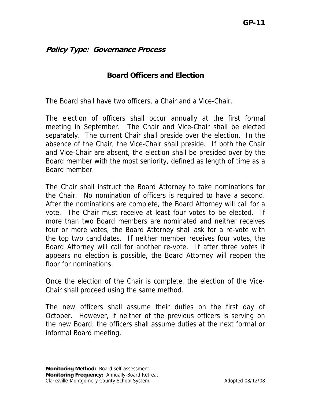#### **Board Officers and Election**

The Board shall have two officers, a Chair and a Vice-Chair.

The election of officers shall occur annually at the first formal meeting in September. The Chair and Vice-Chair shall be elected separately. The current Chair shall preside over the election. In the absence of the Chair, the Vice-Chair shall preside. If both the Chair and Vice-Chair are absent, the election shall be presided over by the Board member with the most seniority, defined as length of time as a Board member.

The Chair shall instruct the Board Attorney to take nominations for the Chair. No nomination of officers is required to have a second. After the nominations are complete, the Board Attorney will call for a vote. The Chair must receive at least four votes to be elected. If more than two Board members are nominated and neither receives four or more votes, the Board Attorney shall ask for a re-vote with the top two candidates. If neither member receives four votes, the Board Attorney will call for another re-vote. If after three votes it appears no election is possible, the Board Attorney will reopen the floor for nominations.

Once the election of the Chair is complete, the election of the Vice-Chair shall proceed using the same method.

The new officers shall assume their duties on the first day of October. However, if neither of the previous officers is serving on the new Board, the officers shall assume duties at the next formal or informal Board meeting.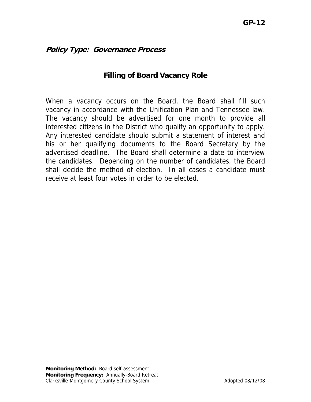### **Filling of Board Vacancy Role**

When a vacancy occurs on the Board, the Board shall fill such vacancy in accordance with the Unification Plan and Tennessee law. The vacancy should be advertised for one month to provide all interested citizens in the District who qualify an opportunity to apply. Any interested candidate should submit a statement of interest and his or her qualifying documents to the Board Secretary by the advertised deadline. The Board shall determine a date to interview the candidates. Depending on the number of candidates, the Board shall decide the method of election. In all cases a candidate must receive at least four votes in order to be elected.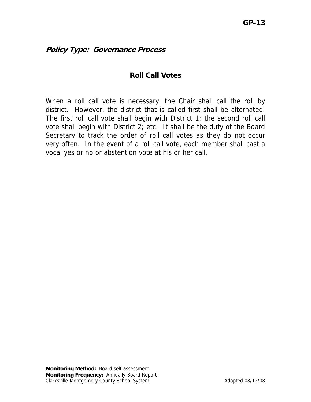#### **Roll Call Votes**

When a roll call vote is necessary, the Chair shall call the roll by district. However, the district that is called first shall be alternated. The first roll call vote shall begin with District 1; the second roll call vote shall begin with District 2; etc. It shall be the duty of the Board Secretary to track the order of roll call votes as they do not occur very often. In the event of a roll call vote, each member shall cast a vocal yes or no or abstention vote at his or her call.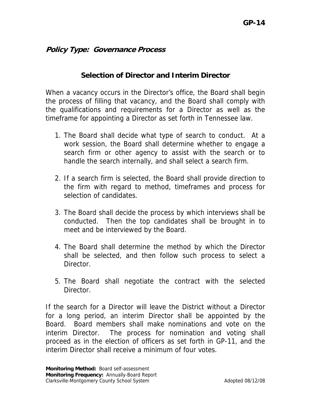#### **Selection of Director and Interim Director**

When a vacancy occurs in the Director's office, the Board shall begin the process of filling that vacancy, and the Board shall comply with the qualifications and requirements for a Director as well as the timeframe for appointing a Director as set forth in Tennessee law.

- 1. The Board shall decide what type of search to conduct. At a work session, the Board shall determine whether to engage a search firm or other agency to assist with the search or to handle the search internally, and shall select a search firm.
- 2. If a search firm is selected, the Board shall provide direction to the firm with regard to method, timeframes and process for selection of candidates.
- 3. The Board shall decide the process by which interviews shall be conducted. Then the top candidates shall be brought in to meet and be interviewed by the Board.
- 4. The Board shall determine the method by which the Director shall be selected, and then follow such process to select a Director.
- 5. The Board shall negotiate the contract with the selected Director.

If the search for a Director will leave the District without a Director for a long period, an interim Director shall be appointed by the Board. Board members shall make nominations and vote on the interim Director. The process for nomination and voting shall proceed as in the election of officers as set forth in GP-11, and the interim Director shall receive a minimum of four votes.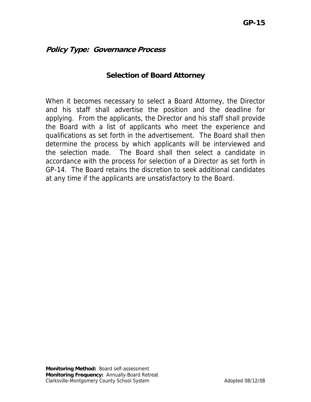### **Selection of Board Attorney**

When it becomes necessary to select a Board Attorney, the Director and his staff shall advertise the position and the deadline for applying. From the applicants, the Director and his staff shall provide the Board with a list of applicants who meet the experience and qualifications as set forth in the advertisement. The Board shall then determine the process by which applicants will be interviewed and the selection made. The Board shall then select a candidate in accordance with the process for selection of a Director as set forth in GP-14. The Board retains the discretion to seek additional candidates at any time if the applicants are unsatisfactory to the Board.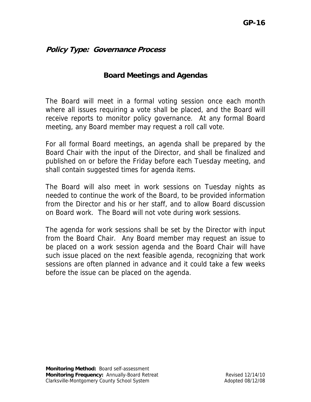### **Board Meetings and Agendas**

The Board will meet in a formal voting session once each month where all issues requiring a vote shall be placed, and the Board will receive reports to monitor policy governance. At any formal Board meeting, any Board member may request a roll call vote.

For all formal Board meetings, an agenda shall be prepared by the Board Chair with the input of the Director, and shall be finalized and published on or before the Friday before each Tuesday meeting, and shall contain suggested times for agenda items.

The Board will also meet in work sessions on Tuesday nights as needed to continue the work of the Board, to be provided information from the Director and his or her staff, and to allow Board discussion on Board work. The Board will not vote during work sessions.

The agenda for work sessions shall be set by the Director with input from the Board Chair. Any Board member may request an issue to be placed on a work session agenda and the Board Chair will have such issue placed on the next feasible agenda, recognizing that work sessions are often planned in advance and it could take a few weeks before the issue can be placed on the agenda.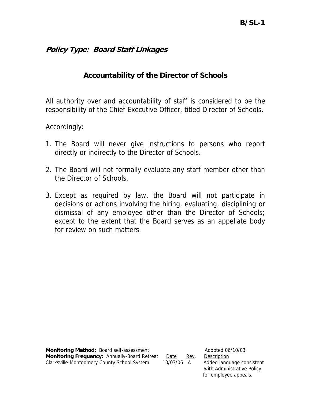# **Policy Type: Board Staff Linkages**

# **Accountability of the Director of Schools**

All authority over and accountability of staff is considered to be the responsibility of the Chief Executive Officer, titled Director of Schools.

Accordingly:

- 1. The Board will never give instructions to persons who report directly or indirectly to the Director of Schools.
- 2. The Board will not formally evaluate any staff member other than the Director of Schools.
- 3. Except as required by law, the Board will not participate in decisions or actions involving the hiring, evaluating, disciplining or dismissal of any employee other than the Director of Schools; except to the extent that the Board serves as an appellate body for review on such matters.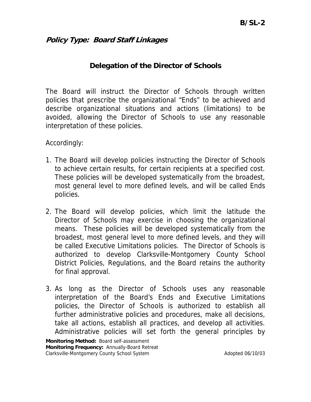# **Policy Type: Board Staff Linkages**

### **Delegation of the Director of Schools**

The Board will instruct the Director of Schools through written policies that prescribe the organizational "Ends" to be achieved and describe organizational situations and actions (limitations) to be avoided, allowing the Director of Schools to use any reasonable interpretation of these policies.

Accordingly:

- 1. The Board will develop policies instructing the Director of Schools to achieve certain results, for certain recipients at a specified cost. These policies will be developed systematically from the broadest, most general level to more defined levels, and will be called Ends policies.
- 2. The Board will develop policies, which limit the latitude the Director of Schools may exercise in choosing the organizational means. These policies will be developed systematically from the broadest, most general level to more defined levels, and they will be called Executive Limitations policies. The Director of Schools is authorized to develop Clarksville-Montgomery County School District Policies, Regulations, and the Board retains the authority for final approval.
- 3. As long as the Director of Schools uses any reasonable interpretation of the Board's Ends and Executive Limitations policies, the Director of Schools is authorized to establish all further administrative policies and procedures, make all decisions, take all actions, establish all practices, and develop all activities. Administrative policies will set forth the general principles by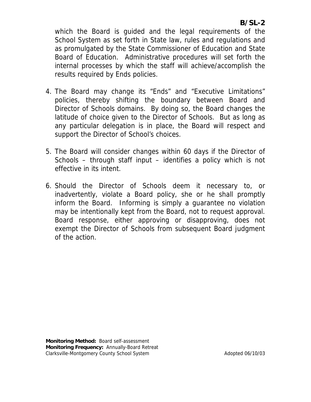which the Board is guided and the legal requirements of the School System as set forth in State law, rules and regulations and as promulgated by the State Commissioner of Education and State Board of Education. Administrative procedures will set forth the internal processes by which the staff will achieve/accomplish the results required by Ends policies.

- 4. The Board may change its "Ends" and "Executive Limitations" policies, thereby shifting the boundary between Board and Director of Schools domains. By doing so, the Board changes the latitude of choice given to the Director of Schools. But as long as any particular delegation is in place, the Board will respect and support the Director of School's choices.
- 5. The Board will consider changes within 60 days if the Director of Schools – through staff input – identifies a policy which is not effective in its intent.
- 6. Should the Director of Schools deem it necessary to, or inadvertently, violate a Board policy, she or he shall promptly inform the Board. Informing is simply a guarantee no violation may be intentionally kept from the Board, not to request approval. Board response, either approving or disapproving, does not exempt the Director of Schools from subsequent Board judgment of the action.

**Monitoring Method:** Board self-assessment **Monitoring Frequency:** Annually-Board Retreat Clarksville-Montgomery County School System Adopted 06/10/03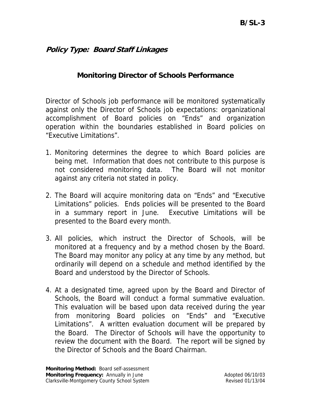# **Policy Type: Board Staff Linkages**

# **Monitoring Director of Schools Performance**

Director of Schools job performance will be monitored systematically against only the Director of Schools job expectations: organizational accomplishment of Board policies on "Ends" and organization operation within the boundaries established in Board policies on "Executive Limitations".

- 1. Monitoring determines the degree to which Board policies are being met. Information that does not contribute to this purpose is not considered monitoring data. The Board will not monitor against any criteria not stated in policy.
- 2. The Board will acquire monitoring data on "Ends" and "Executive Limitations" policies. Ends policies will be presented to the Board in a summary report in June. Executive Limitations will be presented to the Board every month.
- 3. All policies, which instruct the Director of Schools, will be monitored at a frequency and by a method chosen by the Board. The Board may monitor any policy at any time by any method, but ordinarily will depend on a schedule and method identified by the Board and understood by the Director of Schools.
- 4. At a designated time, agreed upon by the Board and Director of Schools, the Board will conduct a formal summative evaluation. This evaluation will be based upon data received during the year from monitoring Board policies on "Ends" and "Executive Limitations". A written evaluation document will be prepared by the Board. The Director of Schools will have the opportunity to review the document with the Board. The report will be signed by the Director of Schools and the Board Chairman.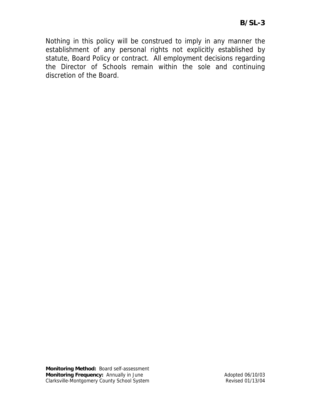Nothing in this policy will be construed to imply in any manner the establishment of any personal rights not explicitly established by statute, Board Policy or contract. All employment decisions regarding the Director of Schools remain within the sole and continuing discretion of the Board.